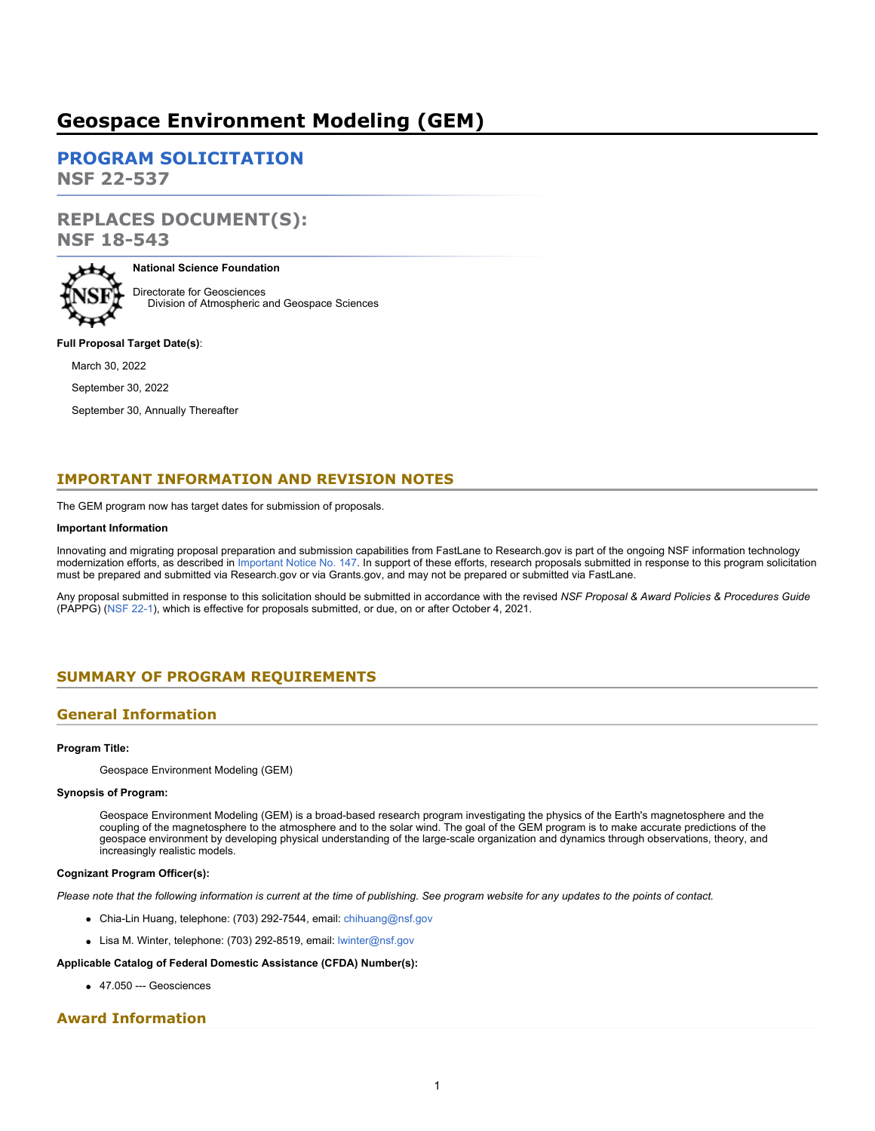# **Geospace Environment Modeling (GEM)**

**[PROGRAM SOLICITATION](#page-2-0) NSF 22-537**

# **REPLACES DOCUMENT(S): NSF 18-543**



**National Science Foundation**

Directorate for Geosciences Division of Atmospheric and Geospace Sciences

### **Full Proposal Target Date(s)**:

March 30, 2022

September 30, 2022

September 30, Annually Thereafter

# **IMPORTANT INFORMATION AND REVISION NOTES**

The GEM program now has target dates for submission of proposals.

### **Important Information**

Innovating and migrating proposal preparation and submission capabilities from FastLane to Research.gov is part of the ongoing NSF information technology modernization efforts, as described in [Important Notice No. 147](https://www.nsf.gov/publications/pub_summ.jsp?ods_key=in147). In support of these efforts, research proposals submitted in response to this program solicitation must be prepared and submitted via Research.gov or via Grants.gov, and may not be prepared or submitted via FastLane.

Any proposal submitted in response to this solicitation should be submitted in accordance with the revised *NSF Proposal & Award Policies & Procedures Guide* (PAPPG) [\(NSF 22-1](https://www.nsf.gov/publications/pub_summ.jsp?ods_key=nsf22001&org=NSF)), which is effective for proposals submitted, or due, on or after October 4, 2021.

# <span id="page-0-0"></span>**SUMMARY OF PROGRAM REQUIREMENTS**

# **General Information**

### **Program Title:**

Geospace Environment Modeling (GEM)

### **Synopsis of Program:**

Geospace Environment Modeling (GEM) is a broad-based research program investigating the physics of the Earth's magnetosphere and the coupling of the magnetosphere to the atmosphere and to the solar wind. The goal of the GEM program is to make accurate predictions of the geospace environment by developing physical understanding of the large-scale organization and dynamics through observations, theory, and increasingly realistic models.

### **Cognizant Program Officer(s):**

*Please note that the following information is current at the time of publishing. See program website for any updates to the points of contact.*

- Chia-Lin Huang, telephone: (703) 292-7544, email: [chihuang@nsf.gov](mailto:chihuang@nsf.gov)
- Lisa M. Winter, telephone: (703) 292-8519, email: [lwinter@nsf.gov](mailto:lwinter@nsf.gov)

### **Applicable Catalog of Federal Domestic Assistance (CFDA) Number(s):**

 $\bullet$  47.050 --- Geosciences

### **Award Information**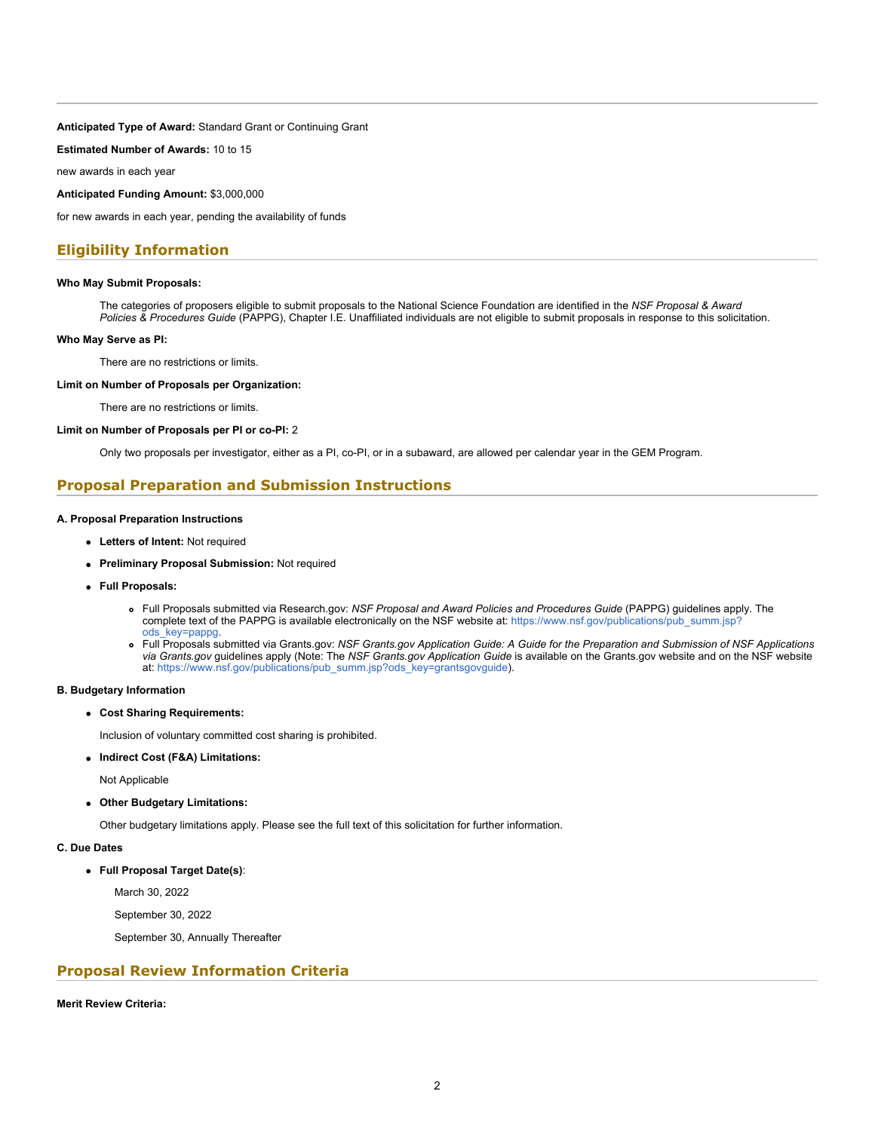### **Anticipated Type of Award:** Standard Grant or Continuing Grant

**Estimated Number of Awards:** 10 to 15

new awards in each year

**Anticipated Funding Amount:** \$3,000,000

for new awards in each year, pending the availability of funds

# **Eligibility Information**

### **Who May Submit Proposals:**

The categories of proposers eligible to submit proposals to the National Science Foundation are identified in the *NSF Proposal & Award Policies & Procedures Guide* (PAPPG), Chapter I.E. Unaffiliated individuals are not eligible to submit proposals in response to this solicitation.

#### **Who May Serve as PI:**

There are no restrictions or limits.

### **Limit on Number of Proposals per Organization:**

There are no restrictions or limits.

#### **Limit on Number of Proposals per PI or co-PI:** 2

Only two proposals per investigator, either as a PI, co-PI, or in a subaward, are allowed per calendar year in the GEM Program.

### **Proposal Preparation and Submission Instructions**

### **A. Proposal Preparation Instructions**

- **Letters of Intent:** Not required
- **Preliminary Proposal Submission:** Not required
- **Full Proposals:**
	- Full Proposals submitted via Research.gov: *NSF Proposal and Award Policies and Procedures Guide* (PAPPG) guidelines apply. The complete text of the PAPPG is available electronically on the NSF website at: [https://www.nsf.gov/publications/pub\\_summ.jsp?](https://www.nsf.gov/publications/pub_summ.jsp?ods_key=pappg) [ods\\_key=pappg.](https://www.nsf.gov/publications/pub_summ.jsp?ods_key=pappg)
	- Full Proposals submitted via Grants.gov: *NSF Grants.gov Application Guide: A Guide for the Preparation and Submission of NSF Applications via Grants.gov* guidelines apply (Note: The *NSF Grants.gov Application Guide* is available on the Grants.gov website and on the NSF website at: [https://www.nsf.gov/publications/pub\\_summ.jsp?ods\\_key=grantsgovguide](https://www.nsf.gov/publications/pub_summ.jsp?ods_key=grantsgovguide)).

### **B. Budgetary Information**

### **Cost Sharing Requirements:**

Inclusion of voluntary committed cost sharing is prohibited.

**Indirect Cost (F&A) Limitations:**

Not Applicable

**Other Budgetary Limitations:**

Other budgetary limitations apply. Please see the full text of this solicitation for further information.

### **C. Due Dates**

**Full Proposal Target Date(s)**:

March 30, 2022

September 30, 2022

September 30, Annually Thereafter

### **Proposal Review Information Criteria**

### **Merit Review Criteria:**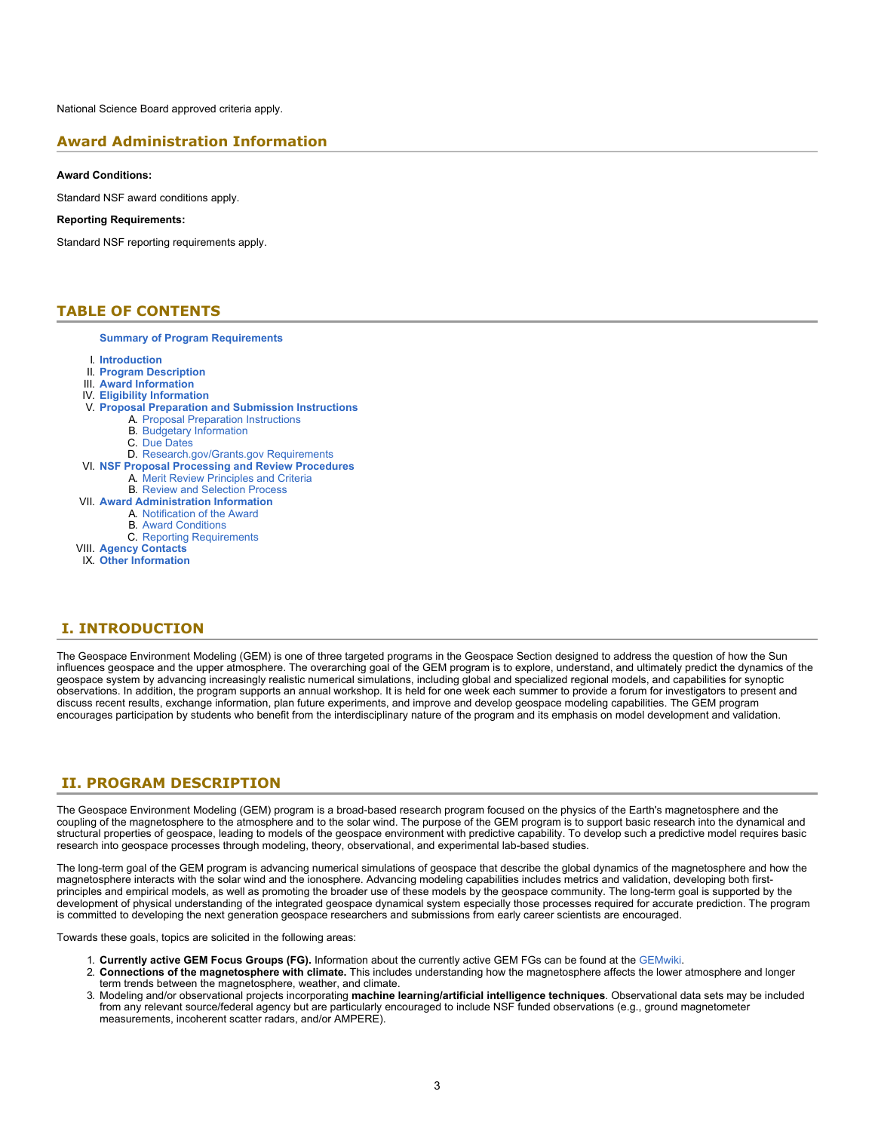National Science Board approved criteria apply.

### **Award Administration Information**

### **Award Conditions:**

Standard NSF award conditions apply.

### **Reporting Requirements:**

Standard NSF reporting requirements apply.

### <span id="page-2-0"></span>**TABLE OF CONTENTS**

#### **[Summary of Program Requirements](#page-0-0)**

- I. **[Introduction](#page-2-1)**
- II. **[Program Description](#page-2-2)**
- III. **[Award Information](#page-3-0)**
- IV. **[Eligibility Information](#page-3-1)**
- V. **[Proposal Preparation and Submission Instructions](#page-3-2)**
	- A. [Proposal Preparation Instructions](#page-3-2)
		- B. [Budgetary Information](#page-4-0)
		- C. [Due Dates](#page-4-1)
	- D. [Research.gov/Grants.gov Requirements](#page-4-2)
- VI. **[NSF Proposal Processing and Review Procedures](#page-4-3)**
	- A. [Merit Review Principles and Criteria](#page-5-0)
	- B. [Review and Selection Process](#page-5-1)
- VII. **[Award Administration Information](#page-6-0)**
	- A. [Notification of the Award](#page-6-1)
		- B. [Award Conditions](#page-6-2)
			- C. [Reporting Requirements](#page-6-3)
- VIII. **[Agency Contacts](#page-7-0)**
- IX. **[Other Information](#page-7-1)**

### <span id="page-2-1"></span>**I. INTRODUCTION**

The Geospace Environment Modeling (GEM) is one of three targeted programs in the Geospace Section designed to address the question of how the Sun influences geospace and the upper atmosphere. The overarching goal of the GEM program is to explore, understand, and ultimately predict the dynamics of the geospace system by advancing increasingly realistic numerical simulations, including global and specialized regional models, and capabilities for synoptic observations. In addition, the program supports an annual workshop. It is held for one week each summer to provide a forum for investigators to present and discuss recent results, exchange information, plan future experiments, and improve and develop geospace modeling capabilities. The GEM program encourages participation by students who benefit from the interdisciplinary nature of the program and its emphasis on model development and validation.

# <span id="page-2-2"></span>**II. PROGRAM DESCRIPTION**

The Geospace Environment Modeling (GEM) program is a broad-based research program focused on the physics of the Earth's magnetosphere and the coupling of the magnetosphere to the atmosphere and to the solar wind. The purpose of the GEM program is to support basic research into the dynamical and structural properties of geospace, leading to models of the geospace environment with predictive capability. To develop such a predictive model requires basic research into geospace processes through modeling, theory, observational, and experimental lab-based studies.

The long-term goal of the GEM program is advancing numerical simulations of geospace that describe the global dynamics of the magnetosphere and how the magnetosphere interacts with the solar wind and the ionosphere. Advancing modeling capabilities includes metrics and validation, developing both firstprinciples and empirical models, as well as promoting the broader use of these models by the geospace community. The long-term goal is supported by the development of physical understanding of the integrated geospace dynamical system especially those processes required for accurate prediction. The program is committed to developing the next generation geospace researchers and submissions from early career scientists are encouraged.

Towards these goals, topics are solicited in the following areas:

- 1. **Currently active GEM Focus Groups (FG).** Information about the currently active GEM FGs can be found at the [GEMwiki](https://www.nsf.gov/cgi-bin/good-bye?https://gem.epss.ucla.edu/mediawiki/index.php/GEM_Focus_Groups).
- 2. **Connections of the magnetosphere with climate.** This includes understanding how the magnetosphere affects the lower atmosphere and longer term trends between the magnetosphere, weather, and climate.
- 3. Modeling and/or observational projects incorporating **machine learning/artificial intelligence techniques**. Observational data sets may be included from any relevant source/federal agency but are particularly encouraged to include NSF funded observations (e.g., ground magnetometer measurements, incoherent scatter radars, and/or AMPERE).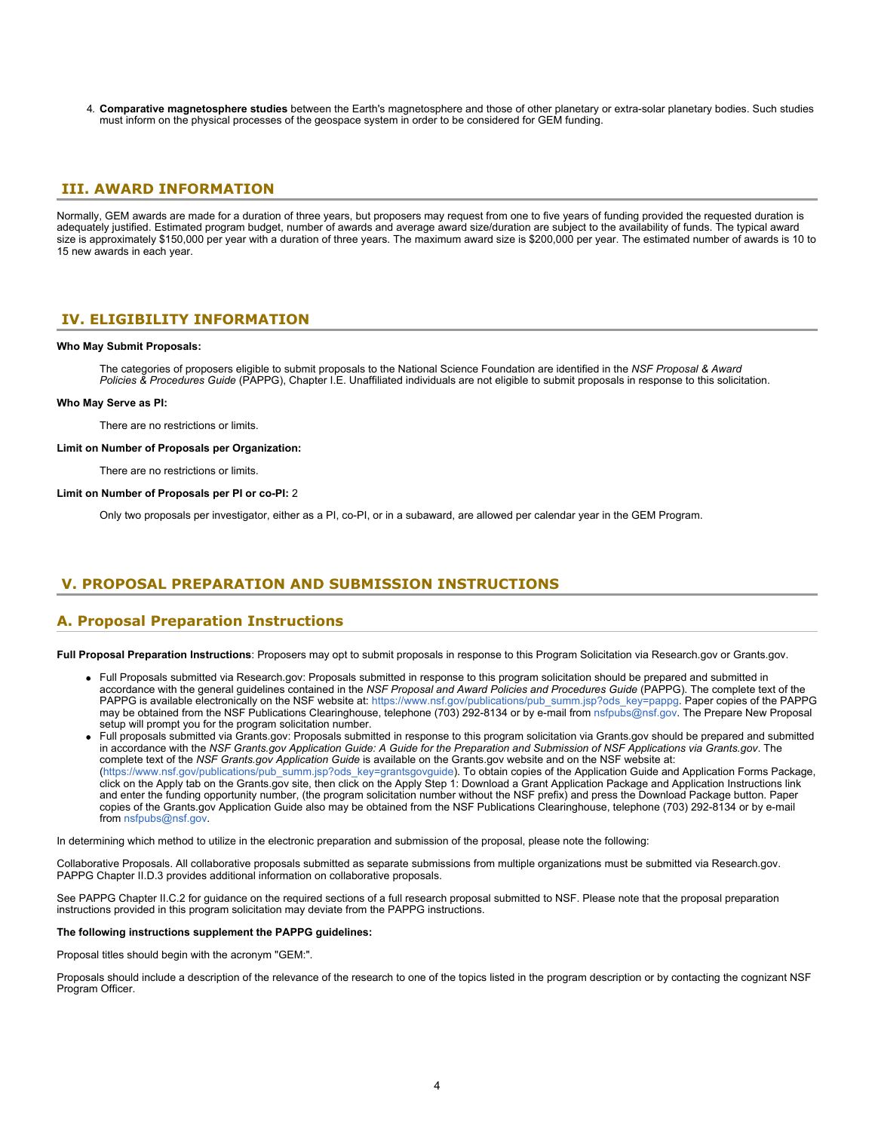4. **Comparative magnetosphere studies** between the Earth's magnetosphere and those of other planetary or extra-solar planetary bodies. Such studies must inform on the physical processes of the geospace system in order to be considered for GEM funding.

# <span id="page-3-0"></span>**III. AWARD INFORMATION**

Normally, GEM awards are made for a duration of three years, but proposers may request from one to five years of funding provided the requested duration is adequately justified. Estimated program budget, number of awards and average award size/duration are subject to the availability of funds. The typical award size is approximately \$150,000 per year with a duration of three years. The maximum award size is \$200,000 per year. The estimated number of awards is 10 to 15 new awards in each year.

# <span id="page-3-1"></span>**IV. ELIGIBILITY INFORMATION**

### **Who May Submit Proposals:**

The categories of proposers eligible to submit proposals to the National Science Foundation are identified in the *NSF Proposal & Award Policies & Procedures Guide* (PAPPG), Chapter I.E. Unaffiliated individuals are not eligible to submit proposals in response to this solicitation.

### **Who May Serve as PI:**

There are no restrictions or limits.

### **Limit on Number of Proposals per Organization:**

There are no restrictions or limits.

### **Limit on Number of Proposals per PI or co-PI:** 2

Only two proposals per investigator, either as a PI, co-PI, or in a subaward, are allowed per calendar year in the GEM Program.

# <span id="page-3-2"></span>**V. PROPOSAL PREPARATION AND SUBMISSION INSTRUCTIONS**

# **A. Proposal Preparation Instructions**

**Full Proposal Preparation Instructions**: Proposers may opt to submit proposals in response to this Program Solicitation via Research.gov or Grants.gov.

- Full Proposals submitted via Research.gov: Proposals submitted in response to this program solicitation should be prepared and submitted in accordance with the general guidelines contained in the *NSF Proposal and Award Policies and Procedures Guide* (PAPPG). The complete text of the PAPPG is available electronically on the NSF website at: [https://www.nsf.gov/publications/pub\\_summ.jsp?ods\\_key=pappg](https://www.nsf.gov/publications/pub_summ.jsp?ods_key=pappg). Paper copies of the PAPPG may be obtained from the NSF Publications Clearinghouse, telephone (703) 292-8134 or by e-mail from [nsfpubs@nsf.gov.](mailto:nsfpubs@nsf.gov) The Prepare New Proposal setup will prompt you for the program solicitation number.
- Full proposals submitted via Grants.gov: Proposals submitted in response to this program solicitation via Grants.gov should be prepared and submitted in accordance with the *NSF Grants.gov Application Guide: A Guide for the Preparation and Submission of NSF Applications via Grants.gov*. The complete text of the *NSF Grants.gov Application Guide* is available on the Grants.gov website and on the NSF website at: [\(https://www.nsf.gov/publications/pub\\_summ.jsp?ods\\_key=grantsgovguide](https://www.nsf.gov/publications/pub_summ.jsp?ods_key=grantsgovguide)). To obtain copies of the Application Guide and Application Forms Package, click on the Apply tab on the Grants.gov site, then click on the Apply Step 1: Download a Grant Application Package and Application Instructions link and enter the funding opportunity number, (the program solicitation number without the NSF prefix) and press the Download Package button. Paper copies of the Grants.gov Application Guide also may be obtained from the NSF Publications Clearinghouse, telephone (703) 292-8134 or by e-mail from [nsfpubs@nsf.gov](mailto:nsfpubs@nsf.gov).

In determining which method to utilize in the electronic preparation and submission of the proposal, please note the following:

Collaborative Proposals. All collaborative proposals submitted as separate submissions from multiple organizations must be submitted via Research.gov. PAPPG Chapter II.D.3 provides additional information on collaborative proposals.

See PAPPG Chapter II.C.2 for guidance on the required sections of a full research proposal submitted to NSF. Please note that the proposal preparation instructions provided in this program solicitation may deviate from the PAPPG instructions.

### **The following instructions supplement the PAPPG guidelines:**

Proposal titles should begin with the acronym "GEM:".

Proposals should include a description of the relevance of the research to one of the topics listed in the program description or by contacting the cognizant NSF Program Officer.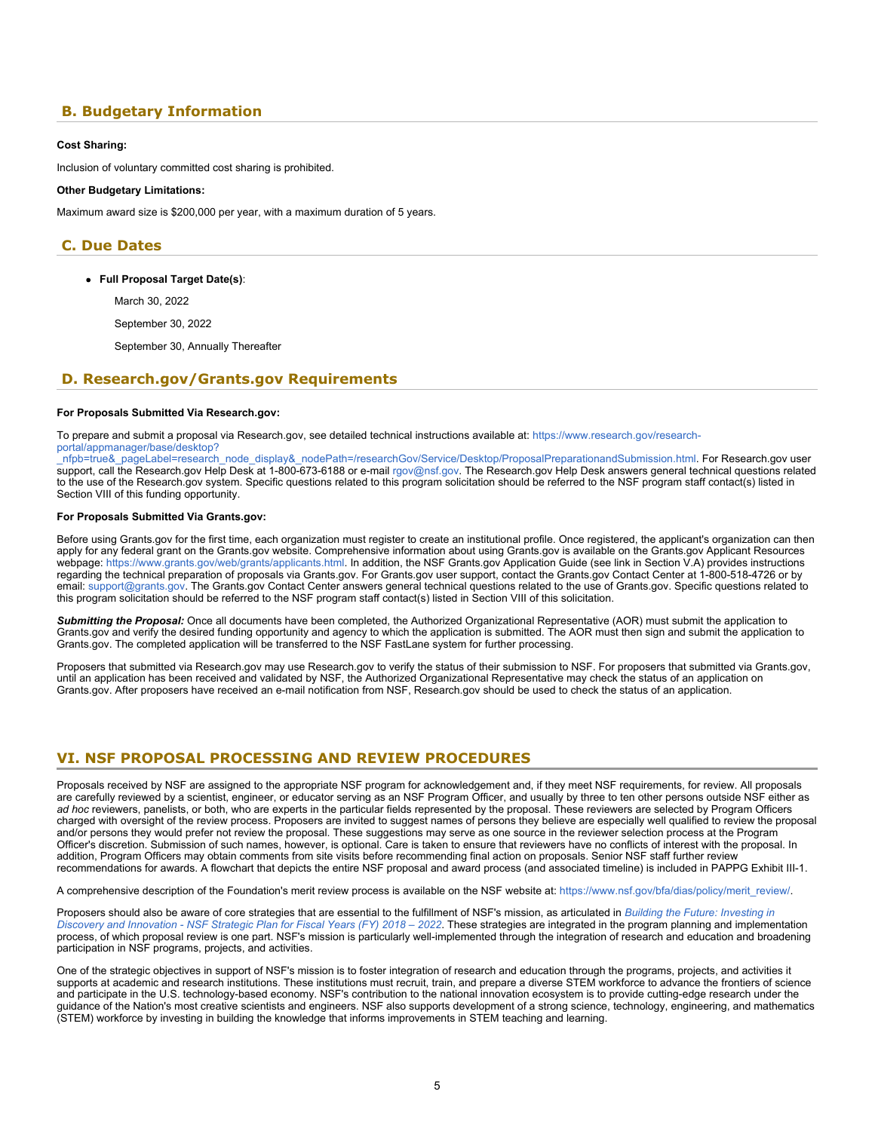# <span id="page-4-1"></span><span id="page-4-0"></span>**B. Budgetary Information**

### **Cost Sharing:**

Inclusion of voluntary committed cost sharing is prohibited.

### **Other Budgetary Limitations:**

Maximum award size is \$200,000 per year, with a maximum duration of 5 years.

### **C. Due Dates**

**Full Proposal Target Date(s)**:

 March 30, 2022 September 30, 2022

September 30, Annually Thereafter

### <span id="page-4-2"></span>**D. Research.gov/Grants.gov Requirements**

### **For Proposals Submitted Via Research.gov:**

To prepare and submit a proposal via Research.gov, see detailed technical instructions available at: [https://www.research.gov/research-](https://www.research.gov/research-portal/appmanager/base/desktop?_nfpb=true&_pageLabel=research_node_display&_nodePath=/researchGov/Service/Desktop/ProposalPreparationandSubmission.html)

[portal/appmanager/base/desktop?](https://www.research.gov/research-portal/appmanager/base/desktop?_nfpb=true&_pageLabel=research_node_display&_nodePath=/researchGov/Service/Desktop/ProposalPreparationandSubmission.html) [\\_nfpb=true&\\_pageLabel=research\\_node\\_display&\\_nodePath=/researchGov/Service/Desktop/ProposalPreparationandSubmission.html](https://www.research.gov/research-portal/appmanager/base/desktop?_nfpb=true&_pageLabel=research_node_display&_nodePath=/researchGov/Service/Desktop/ProposalPreparationandSubmission.html). For Research.gov user support, call the Research.gov Help Desk at 1-800-673-6188 or e-mail [rgov@nsf.gov](mailto:rgov@nsf.gov). The Research.gov Help Desk answers general technical questions related to the use of the Research.gov system. Specific questions related to this program solicitation should be referred to the NSF program staff contact(s) listed in Section VIII of this funding opportunity.

### **For Proposals Submitted Via Grants.gov:**

Before using Grants.gov for the first time, each organization must register to create an institutional profile. Once registered, the applicant's organization can then apply for any federal grant on the Grants.gov website. Comprehensive information about using Grants.gov is available on the Grants.gov Applicant Resources webpage:<https://www.grants.gov/web/grants/applicants.html>. In addition, the NSF Grants.gov Application Guide (see link in Section V.A) provides instructions regarding the technical preparation of proposals via Grants.gov. For Grants.gov user support, contact the Grants.gov Contact Center at 1-800-518-4726 or by email: [support@grants.gov.](mailto:support@grants.gov) The Grants.gov Contact Center answers general technical questions related to the use of Grants.gov. Specific questions related to this program solicitation should be referred to the NSF program staff contact(s) listed in Section VIII of this solicitation.

*Submitting the Proposal:* Once all documents have been completed, the Authorized Organizational Representative (AOR) must submit the application to Grants.gov and verify the desired funding opportunity and agency to which the application is submitted. The AOR must then sign and submit the application to Grants.gov. The completed application will be transferred to the NSF FastLane system for further processing.

Proposers that submitted via Research.gov may use Research.gov to verify the status of their submission to NSF. For proposers that submitted via Grants.gov, until an application has been received and validated by NSF, the Authorized Organizational Representative may check the status of an application on Grants.gov. After proposers have received an e-mail notification from NSF, Research.gov should be used to check the status of an application.

# <span id="page-4-3"></span>**VI. NSF PROPOSAL PROCESSING AND REVIEW PROCEDURES**

Proposals received by NSF are assigned to the appropriate NSF program for acknowledgement and, if they meet NSF requirements, for review. All proposals are carefully reviewed by a scientist, engineer, or educator serving as an NSF Program Officer, and usually by three to ten other persons outside NSF either as *ad hoc* reviewers, panelists, or both, who are experts in the particular fields represented by the proposal. These reviewers are selected by Program Officers charged with oversight of the review process. Proposers are invited to suggest names of persons they believe are especially well qualified to review the proposal and/or persons they would prefer not review the proposal. These suggestions may serve as one source in the reviewer selection process at the Program Officer's discretion. Submission of such names, however, is optional. Care is taken to ensure that reviewers have no conflicts of interest with the proposal. In addition, Program Officers may obtain comments from site visits before recommending final action on proposals. Senior NSF staff further review recommendations for awards. A flowchart that depicts the entire NSF proposal and award process (and associated timeline) is included in PAPPG Exhibit III-1.

A comprehensive description of the Foundation's merit review process is available on the NSF website at: [https://www.nsf.gov/bfa/dias/policy/merit\\_review/](https://www.nsf.gov/bfa/dias/policy/merit_review/).

Proposers should also be aware of core strategies that are essential to the fulfillment of NSF's mission, as articulated in *[Building the Future: Investing in](https://www.nsf.gov/publications/pub_summ.jsp?ods_key=nsf18045) [Discovery and Innovation - NSF Strategic Plan for Fiscal Years \(FY\) 2018 – 2022](https://www.nsf.gov/publications/pub_summ.jsp?ods_key=nsf18045)*. These strategies are integrated in the program planning and implementation process, of which proposal review is one part. NSF's mission is particularly well-implemented through the integration of research and education and broadening participation in NSF programs, projects, and activities.

One of the strategic objectives in support of NSF's mission is to foster integration of research and education through the programs, projects, and activities it supports at academic and research institutions. These institutions must recruit, train, and prepare a diverse STEM workforce to advance the frontiers of science and participate in the U.S. technology-based economy. NSF's contribution to the national innovation ecosystem is to provide cutting-edge research under the guidance of the Nation's most creative scientists and engineers. NSF also supports development of a strong science, technology, engineering, and mathematics (STEM) workforce by investing in building the knowledge that informs improvements in STEM teaching and learning.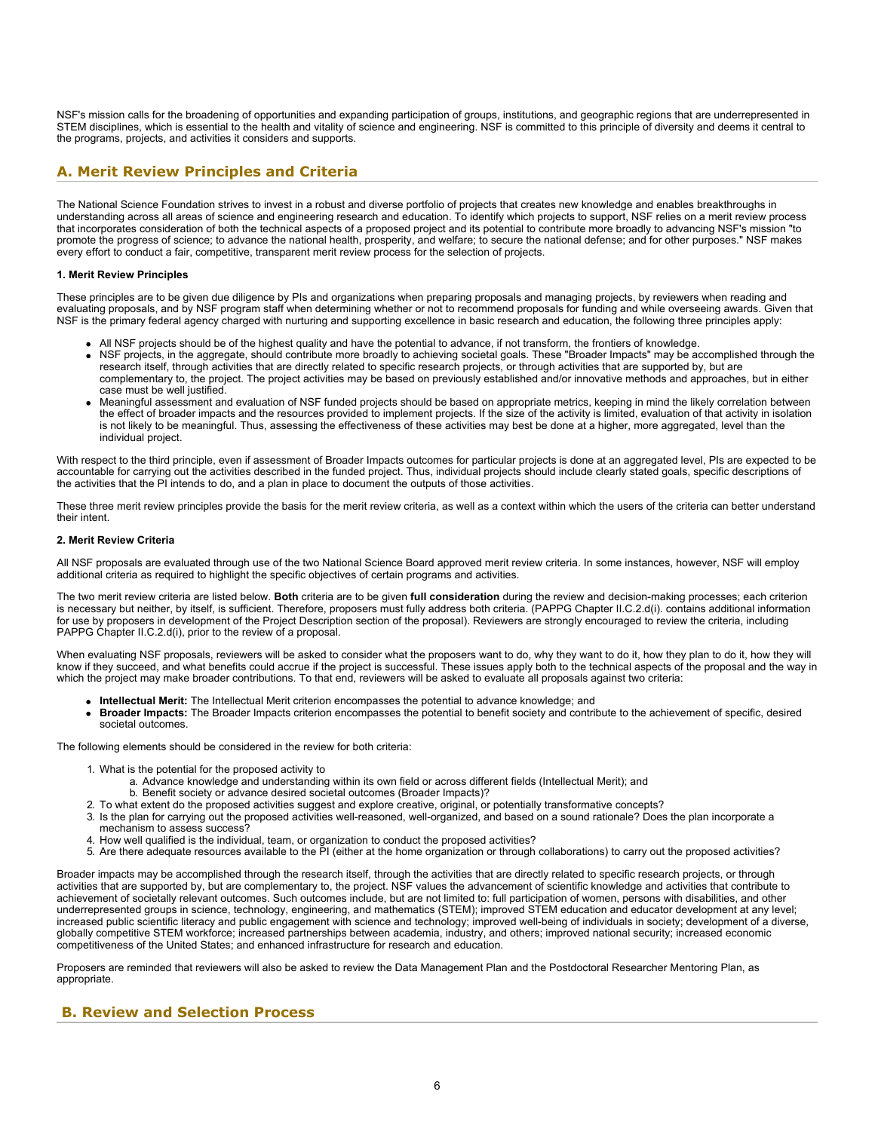NSF's mission calls for the broadening of opportunities and expanding participation of groups, institutions, and geographic regions that are underrepresented in STEM disciplines, which is essential to the health and vitality of science and engineering. NSF is committed to this principle of diversity and deems it central to the programs, projects, and activities it considers and supports.

### <span id="page-5-0"></span>**A. Merit Review Principles and Criteria**

The National Science Foundation strives to invest in a robust and diverse portfolio of projects that creates new knowledge and enables breakthroughs in understanding across all areas of science and engineering research and education. To identify which projects to support, NSF relies on a merit review process that incorporates consideration of both the technical aspects of a proposed project and its potential to contribute more broadly to advancing NSF's mission "to promote the progress of science; to advance the national health, prosperity, and welfare; to secure the national defense; and for other purposes." NSF makes every effort to conduct a fair, competitive, transparent merit review process for the selection of projects.

### **1. Merit Review Principles**

These principles are to be given due diligence by PIs and organizations when preparing proposals and managing projects, by reviewers when reading and evaluating proposals, and by NSF program staff when determining whether or not to recommend proposals for funding and while overseeing awards. Given that NSF is the primary federal agency charged with nurturing and supporting excellence in basic research and education, the following three principles apply:

- All NSF projects should be of the highest quality and have the potential to advance, if not transform, the frontiers of knowledge.
- NSF projects, in the aggregate, should contribute more broadly to achieving societal goals. These "Broader Impacts" may be accomplished through the research itself, through activities that are directly related to specific research projects, or through activities that are supported by, but are complementary to, the project. The project activities may be based on previously established and/or innovative methods and approaches, but in either case must be well justified.
- Meaningful assessment and evaluation of NSF funded projects should be based on appropriate metrics, keeping in mind the likely correlation between the effect of broader impacts and the resources provided to implement projects. If the size of the activity is limited, evaluation of that activity in isolation is not likely to be meaningful. Thus, assessing the effectiveness of these activities may best be done at a higher, more aggregated, level than the individual project.

With respect to the third principle, even if assessment of Broader Impacts outcomes for particular projects is done at an aggregated level, PIs are expected to be accountable for carrying out the activities described in the funded project. Thus, individual projects should include clearly stated goals, specific descriptions of the activities that the PI intends to do, and a plan in place to document the outputs of those activities.

These three merit review principles provide the basis for the merit review criteria, as well as a context within which the users of the criteria can better understand their intent.

#### **2. Merit Review Criteria**

All NSF proposals are evaluated through use of the two National Science Board approved merit review criteria. In some instances, however, NSF will employ additional criteria as required to highlight the specific objectives of certain programs and activities.

The two merit review criteria are listed below. **Both** criteria are to be given **full consideration** during the review and decision-making processes; each criterion is necessary but neither, by itself, is sufficient. Therefore, proposers must fully address both criteria. (PAPPG Chapter II.C.2.d(i). contains additional information for use by proposers in development of the Project Description section of the proposal). Reviewers are strongly encouraged to review the criteria, including PAPPG Chapter II.C.2.d(i), prior to the review of a proposal.

When evaluating NSF proposals, reviewers will be asked to consider what the proposers want to do, why they want to do it, how they plan to do it, how they will know if they succeed, and what benefits could accrue if the project is successful. These issues apply both to the technical aspects of the proposal and the way in which the project may make broader contributions. To that end, reviewers will be asked to evaluate all proposals against two criteria:

- **Intellectual Merit:** The Intellectual Merit criterion encompasses the potential to advance knowledge; and
- **Broader Impacts:** The Broader Impacts criterion encompasses the potential to benefit society and contribute to the achievement of specific, desired societal outcomes.

The following elements should be considered in the review for both criteria:

- 1. What is the potential for the proposed activity to
	- a. Advance knowledge and understanding within its own field or across different fields (Intellectual Merit); and
	- b. Benefit society or advance desired societal outcomes (Broader Impacts)?
- 2. To what extent do the proposed activities suggest and explore creative, original, or potentially transformative concepts?
- 3. Is the plan for carrying out the proposed activities well-reasoned, well-organized, and based on a sound rationale? Does the plan incorporate a mechanism to assess success?
- 4. How well qualified is the individual, team, or organization to conduct the proposed activities?
- 5. Are there adequate resources available to the PI (either at the home organization or through collaborations) to carry out the proposed activities?

Broader impacts may be accomplished through the research itself, through the activities that are directly related to specific research projects, or through activities that are supported by, but are complementary to, the project. NSF values the advancement of scientific knowledge and activities that contribute to achievement of societally relevant outcomes. Such outcomes include, but are not limited to: full participation of women, persons with disabilities, and other underrepresented groups in science, technology, engineering, and mathematics (STEM); improved STEM education and educator development at any level; increased public scientific literacy and public engagement with science and technology; improved well-being of individuals in society; development of a diverse, globally competitive STEM workforce; increased partnerships between academia, industry, and others; improved national security; increased economic competitiveness of the United States; and enhanced infrastructure for research and education.

Proposers are reminded that reviewers will also be asked to review the Data Management Plan and the Postdoctoral Researcher Mentoring Plan, as appropriate.

### <span id="page-5-1"></span>**B. Review and Selection Process**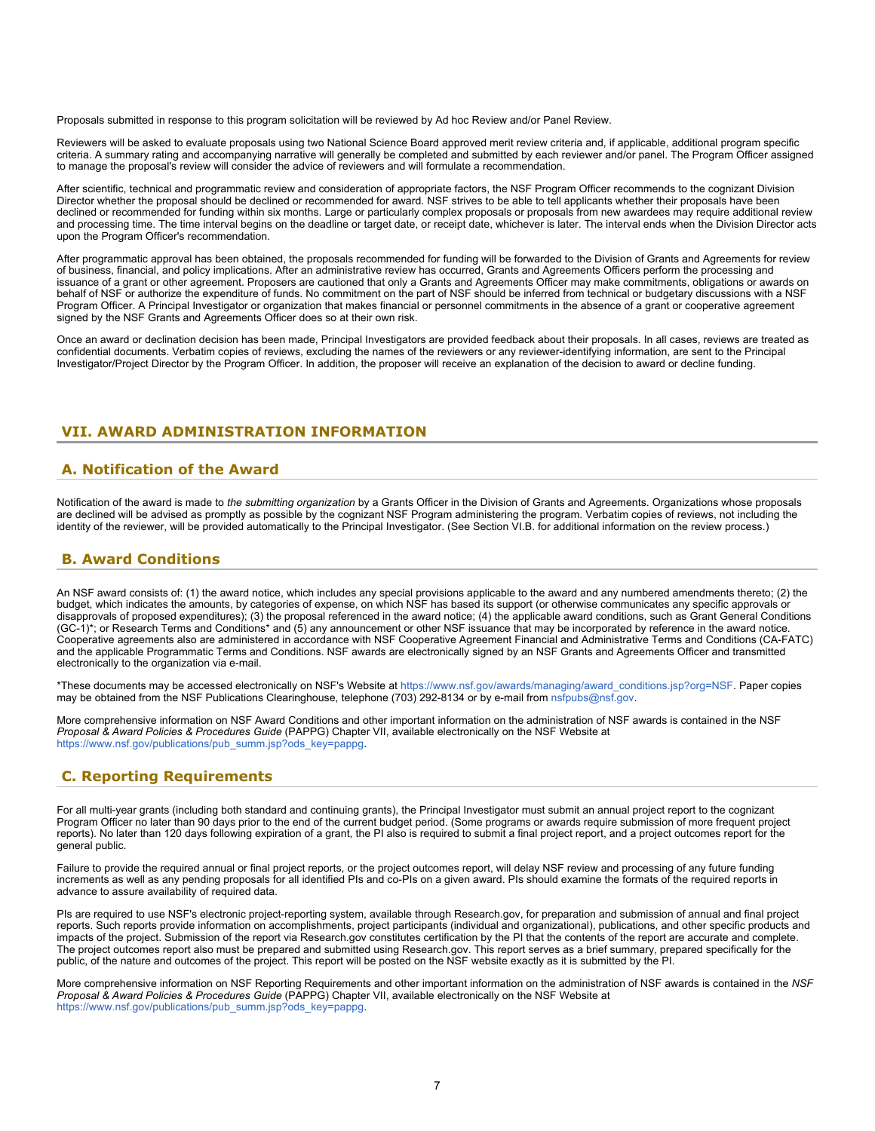Proposals submitted in response to this program solicitation will be reviewed by Ad hoc Review and/or Panel Review.

Reviewers will be asked to evaluate proposals using two National Science Board approved merit review criteria and, if applicable, additional program specific criteria. A summary rating and accompanying narrative will generally be completed and submitted by each reviewer and/or panel. The Program Officer assigned to manage the proposal's review will consider the advice of reviewers and will formulate a recommendation.

After scientific, technical and programmatic review and consideration of appropriate factors, the NSF Program Officer recommends to the cognizant Division Director whether the proposal should be declined or recommended for award. NSF strives to be able to tell applicants whether their proposals have been declined or recommended for funding within six months. Large or particularly complex proposals or proposals from new awardees may require additional review and processing time. The time interval begins on the deadline or target date, or receipt date, whichever is later. The interval ends when the Division Director acts upon the Program Officer's recommendation.

After programmatic approval has been obtained, the proposals recommended for funding will be forwarded to the Division of Grants and Agreements for review of business, financial, and policy implications. After an administrative review has occurred, Grants and Agreements Officers perform the processing and issuance of a grant or other agreement. Proposers are cautioned that only a Grants and Agreements Officer may make commitments, obligations or awards on behalf of NSF or authorize the expenditure of funds. No commitment on the part of NSF should be inferred from technical or budgetary discussions with a NSF Program Officer. A Principal Investigator or organization that makes financial or personnel commitments in the absence of a grant or cooperative agreement signed by the NSF Grants and Agreements Officer does so at their own risk.

Once an award or declination decision has been made, Principal Investigators are provided feedback about their proposals. In all cases, reviews are treated as confidential documents. Verbatim copies of reviews, excluding the names of the reviewers or any reviewer-identifying information, are sent to the Principal Investigator/Project Director by the Program Officer. In addition, the proposer will receive an explanation of the decision to award or decline funding.

### <span id="page-6-0"></span>**VII. AWARD ADMINISTRATION INFORMATION**

### <span id="page-6-1"></span>**A. Notification of the Award**

Notification of the award is made to *the submitting organization* by a Grants Officer in the Division of Grants and Agreements. Organizations whose proposals are declined will be advised as promptly as possible by the cognizant NSF Program administering the program. Verbatim copies of reviews, not including the identity of the reviewer, will be provided automatically to the Principal Investigator. (See Section VI.B. for additional information on the review process.)

### <span id="page-6-2"></span>**B. Award Conditions**

An NSF award consists of: (1) the award notice, which includes any special provisions applicable to the award and any numbered amendments thereto; (2) the budget, which indicates the amounts, by categories of expense, on which NSF has based its support (or otherwise communicates any specific approvals or disapprovals of proposed expenditures); (3) the proposal referenced in the award notice; (4) the applicable award conditions, such as Grant General Conditions (GC-1)\*; or Research Terms and Conditions\* and (5) any announcement or other NSF issuance that may be incorporated by reference in the award notice. Cooperative agreements also are administered in accordance with NSF Cooperative Agreement Financial and Administrative Terms and Conditions (CA-FATC) and the applicable Programmatic Terms and Conditions. NSF awards are electronically signed by an NSF Grants and Agreements Officer and transmitted electronically to the organization via e-mail.

\*These documents may be accessed electronically on NSF's Website at [https://www.nsf.gov/awards/managing/award\\_conditions.jsp?org=NSF](https://www.nsf.gov/awards/managing/award_conditions.jsp?org=NSF). Paper copies may be obtained from the NSF Publications Clearinghouse, telephone (703) 292-8134 or by e-mail from [nsfpubs@nsf.gov.](mailto:nsfpubs@nsf.gov)

More comprehensive information on NSF Award Conditions and other important information on the administration of NSF awards is contained in the NSF *Proposal & Award Policies & Procedures Guide* (PAPPG) Chapter VII, available electronically on the NSF Website at [https://www.nsf.gov/publications/pub\\_summ.jsp?ods\\_key=pappg.](https://www.nsf.gov/publications/pub_summ.jsp?ods_key=pappg)

# <span id="page-6-3"></span>**C. Reporting Requirements**

For all multi-year grants (including both standard and continuing grants), the Principal Investigator must submit an annual project report to the cognizant Program Officer no later than 90 days prior to the end of the current budget period. (Some programs or awards require submission of more frequent project reports). No later than 120 days following expiration of a grant, the PI also is required to submit a final project report, and a project outcomes report for the general public.

Failure to provide the required annual or final project reports, or the project outcomes report, will delay NSF review and processing of any future funding increments as well as any pending proposals for all identified PIs and co-PIs on a given award. PIs should examine the formats of the required reports in advance to assure availability of required data.

PIs are required to use NSF's electronic project-reporting system, available through Research.gov, for preparation and submission of annual and final project reports. Such reports provide information on accomplishments, project participants (individual and organizational), publications, and other specific products and impacts of the project. Submission of the report via Research.gov constitutes certification by the PI that the contents of the report are accurate and complete. The project outcomes report also must be prepared and submitted using Research.gov. This report serves as a brief summary, prepared specifically for the public, of the nature and outcomes of the project. This report will be posted on the NSF website exactly as it is submitted by the PI.

More comprehensive information on NSF Reporting Requirements and other important information on the administration of NSF awards is contained in the *NSF Proposal & Award Policies & Procedures Guide* (PAPPG) Chapter VII, available electronically on the NSF Website at [https://www.nsf.gov/publications/pub\\_summ.jsp?ods\\_key=pappg.](https://www.nsf.gov/publications/pub_summ.jsp?ods_key=pappg)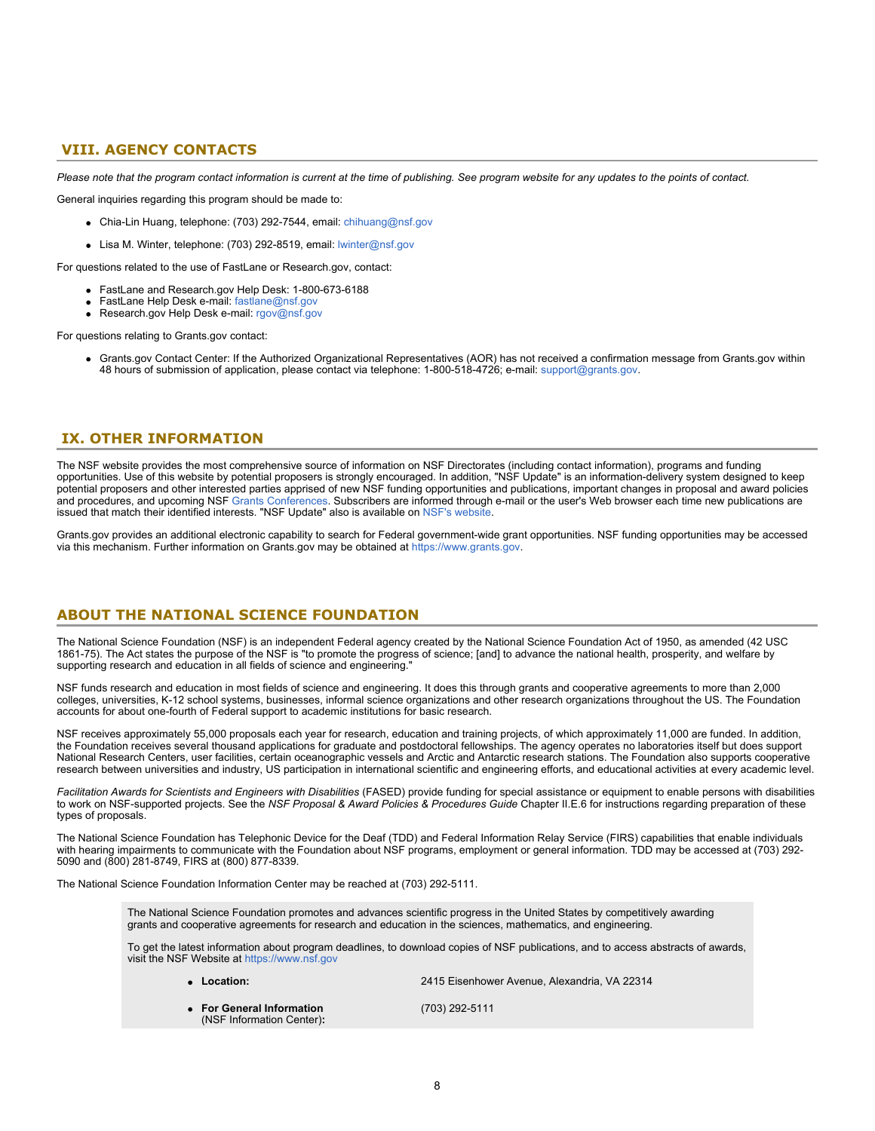# <span id="page-7-0"></span>**VIII. AGENCY CONTACTS**

*Please note that the program contact information is current at the time of publishing. See program website for any updates to the points of contact.*

General inquiries regarding this program should be made to:

- Chia-Lin Huang, telephone: (703) 292-7544, email: [chihuang@nsf.gov](mailto:chihuang@nsf.gov)
- Lisa M. Winter, telephone: (703) 292-8519, email: [lwinter@nsf.gov](mailto:lwinter@nsf.gov)

For questions related to the use of FastLane or Research.gov, contact:

- FastLane and Research.gov Help Desk: 1-800-673-6188
- FastLane Help Desk e-mail: [fastlane@nsf.gov](mailto:fastlane@nsf.gov)
- Research.gov Help Desk e-mail: [rgov@nsf.gov](mailto:rgov@nsf.gov)

For questions relating to Grants.gov contact:

Grants.gov Contact Center: If the Authorized Organizational Representatives (AOR) has not received a confirmation message from Grants.gov within 48 hours of submission of application, please contact via telephone: 1-800-518-4726; e-mail: [support@grants.gov](mailto:support@grants.gov).

### <span id="page-7-1"></span>**IX. OTHER INFORMATION**

The NSF website provides the most comprehensive source of information on NSF Directorates (including contact information), programs and funding opportunities. Use of this website by potential proposers is strongly encouraged. In addition, "NSF Update" is an information-delivery system designed to keep potential proposers and other interested parties apprised of new NSF funding opportunities and publications, important changes in proposal and award policies and procedures, and upcoming NSF [Grants Conferences](https://www.nsf.gov/bfa/dias/policy/outreach.jsp). Subscribers are informed through e-mail or the user's Web browser each time new publications are issued that match their identified interests. "NSF Update" also is available on [NSF's website](https://www.nsf.gov/cgi-bin/good-bye?https://public.govdelivery.com/accounts/USNSF/subscriber/new?topic_id=USNSF_179).

Grants.gov provides an additional electronic capability to search for Federal government-wide grant opportunities. NSF funding opportunities may be accessed via this mechanism. Further information on Grants.gov may be obtained at [https://www.grants.gov](https://www.grants.gov/).

# **ABOUT THE NATIONAL SCIENCE FOUNDATION**

The National Science Foundation (NSF) is an independent Federal agency created by the National Science Foundation Act of 1950, as amended (42 USC 1861-75). The Act states the purpose of the NSF is "to promote the progress of science; [and] to advance the national health, prosperity, and welfare by supporting research and education in all fields of science and engineering."

NSF funds research and education in most fields of science and engineering. It does this through grants and cooperative agreements to more than 2,000 colleges, universities, K-12 school systems, businesses, informal science organizations and other research organizations throughout the US. The Foundation accounts for about one-fourth of Federal support to academic institutions for basic research.

NSF receives approximately 55,000 proposals each year for research, education and training projects, of which approximately 11,000 are funded. In addition, the Foundation receives several thousand applications for graduate and postdoctoral fellowships. The agency operates no laboratories itself but does support National Research Centers, user facilities, certain oceanographic vessels and Arctic and Antarctic research stations. The Foundation also supports cooperative research between universities and industry, US participation in international scientific and engineering efforts, and educational activities at every academic level.

*Facilitation Awards for Scientists and Engineers with Disabilities* (FASED) provide funding for special assistance or equipment to enable persons with disabilities to work on NSF-supported projects. See the *NSF Proposal & Award Policies & Procedures Guide* Chapter II.E.6 for instructions regarding preparation of these types of proposals.

The National Science Foundation has Telephonic Device for the Deaf (TDD) and Federal Information Relay Service (FIRS) capabilities that enable individuals with hearing impairments to communicate with the Foundation about NSF programs, employment or general information. TDD may be accessed at (703) 292- 5090 and (800) 281-8749, FIRS at (800) 877-8339.

The National Science Foundation Information Center may be reached at (703) 292-5111.

The National Science Foundation promotes and advances scientific progress in the United States by competitively awarding grants and cooperative agreements for research and education in the sciences, mathematics, and engineering.

To get the latest information about program deadlines, to download copies of NSF publications, and to access abstracts of awards, visit the NSF Website at [https://www.nsf.gov](https://www.nsf.gov/)

| • Location:                                            | 2415 Eisenhower Avenue. Alexandria. VA 22314 |
|--------------------------------------------------------|----------------------------------------------|
| • For General Information<br>(NSF Information Center): | $(703)$ 292-5111                             |